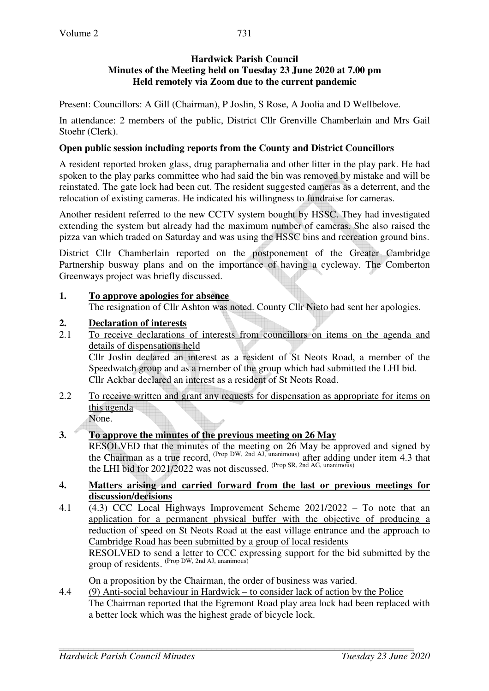## **Hardwick Parish Council Minutes of the Meeting held on Tuesday 23 June 2020 at 7.00 pm Held remotely via Zoom due to the current pandemic**

Present: Councillors: A Gill (Chairman), P Joslin, S Rose, A Joolia and D Wellbelove.

In attendance: 2 members of the public, District Cllr Grenville Chamberlain and Mrs Gail Stoehr (Clerk).

## **Open public session including reports from the County and District Councillors**

A resident reported broken glass, drug paraphernalia and other litter in the play park. He had spoken to the play parks committee who had said the bin was removed by mistake and will be reinstated. The gate lock had been cut. The resident suggested cameras as a deterrent, and the relocation of existing cameras. He indicated his willingness to fundraise for cameras.

Another resident referred to the new CCTV system bought by HSSC. They had investigated extending the system but already had the maximum number of cameras. She also raised the pizza van which traded on Saturday and was using the HSSC bins and recreation ground bins.

District Cllr Chamberlain reported on the postponement of the Greater Cambridge Partnership busway plans and on the importance of having a cycleway. The Comberton Greenways project was briefly discussed.

# **1. To approve apologies for absence**

The resignation of Cllr Ashton was noted. County Cllr Nieto had sent her apologies.

# **2. Declaration of interests**

2.1 To receive declarations of interests from councillors on items on the agenda and details of dispensations held

Cllr Joslin declared an interest as a resident of St Neots Road, a member of the Speedwatch group and as a member of the group which had submitted the LHI bid. Cllr Ackbar declared an interest as a resident of St Neots Road.

2.2 To receive written and grant any requests for dispensation as appropriate for items on this agenda None.

### **3. To approve the minutes of the previous meeting on 26 May**

 RESOLVED that the minutes of the meeting on 26 May be approved and signed by the Chairman as a true record, (Prop DW, 2nd AJ, unanimous) after adding under item 4.3 that the LHI bid for 2021/2022 was not discussed. (Prop SR, 2nd AG, unanimous)

#### **4. Matters arising and carried forward from the last or previous meetings for discussion/decisions**

4.1 (4.3) CCC Local Highways Improvement Scheme 2021/2022 – To note that an application for a permanent physical buffer with the objective of producing a reduction of speed on St Neots Road at the east village entrance and the approach to Cambridge Road has been submitted by a group of local residents RESOLVED to send a letter to CCC expressing support for the bid submitted by the group of residents. (Prop DW, 2nd AJ, unanimous)

On a proposition by the Chairman, the order of business was varied.

4.4 (9) Anti-social behaviour in Hardwick – to consider lack of action by the Police The Chairman reported that the Egremont Road play area lock had been replaced with a better lock which was the highest grade of bicycle lock.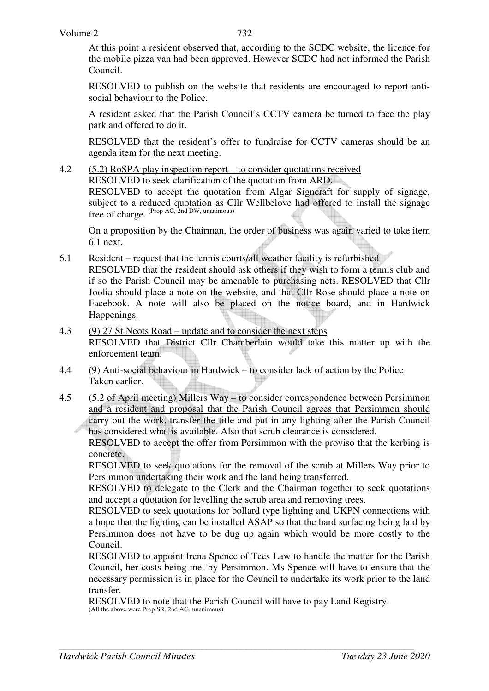At this point a resident observed that, according to the SCDC website, the licence for the mobile pizza van had been approved. However SCDC had not informed the Parish Council.

RESOLVED to publish on the website that residents are encouraged to report antisocial behaviour to the Police.

A resident asked that the Parish Council's CCTV camera be turned to face the play park and offered to do it.

RESOLVED that the resident's offer to fundraise for CCTV cameras should be an agenda item for the next meeting.

4.2 (5.2) RoSPA play inspection report – to consider quotations received RESOLVED to seek clarification of the quotation from ARD. RESOLVED to accept the quotation from Algar Signcraft for supply of signage, subject to a reduced quotation as Cllr Wellbelove had offered to install the signage free of charge. (Prop AG, 2nd DW, unanimous)

 On a proposition by the Chairman, the order of business was again varied to take item 6.1 next.

6.1 Resident – request that the tennis courts/all weather facility is refurbished RESOLVED that the resident should ask others if they wish to form a tennis club and

if so the Parish Council may be amenable to purchasing nets. RESOLVED that Cllr Joolia should place a note on the website, and that Cllr Rose should place a note on Facebook. A note will also be placed on the notice board, and in Hardwick Happenings.

- 4.3 (9) 27 St Neots Road update and to consider the next steps RESOLVED that District Cllr Chamberlain would take this matter up with the enforcement team.
- 4.4 (9) Anti-social behaviour in Hardwick to consider lack of action by the Police Taken earlier.
- 4.5 (5.2 of April meeting) Millers Way to consider correspondence between Persimmon and a resident and proposal that the Parish Council agrees that Persimmon should carry out the work, transfer the title and put in any lighting after the Parish Council has considered what is available. Also that scrub clearance is considered.

RESOLVED to accept the offer from Persimmon with the proviso that the kerbing is concrete.

RESOLVED to seek quotations for the removal of the scrub at Millers Way prior to Persimmon undertaking their work and the land being transferred.

RESOLVED to delegate to the Clerk and the Chairman together to seek quotations and accept a quotation for levelling the scrub area and removing trees.

RESOLVED to seek quotations for bollard type lighting and UKPN connections with a hope that the lighting can be installed ASAP so that the hard surfacing being laid by Persimmon does not have to be dug up again which would be more costly to the Council.

RESOLVED to appoint Irena Spence of Tees Law to handle the matter for the Parish Council, her costs being met by Persimmon. Ms Spence will have to ensure that the necessary permission is in place for the Council to undertake its work prior to the land transfer.

RESOLVED to note that the Parish Council will have to pay Land Registry. (All the above were Prop SR, 2nd AG, unanimous)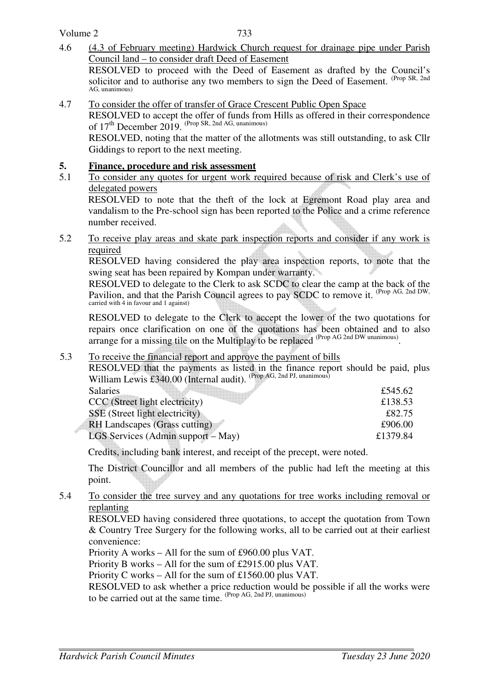Volume 2

4.6 (4.3 of February meeting) Hardwick Church request for drainage pipe under Parish Council land – to consider draft Deed of Easement

 RESOLVED to proceed with the Deed of Easement as drafted by the Council's solicitor and to authorise any two members to sign the Deed of Easement. (Prop SR, 2nd) AG, unanimous)

4.7 To consider the offer of transfer of Grace Crescent Public Open Space

 RESOLVED to accept the offer of funds from Hills as offered in their correspondence of  $17<sup>th</sup>$  December 2019. (Prop SR, 2nd AG, unanimous)

RESOLVED, noting that the matter of the allotments was still outstanding, to ask Cllr Giddings to report to the next meeting.

### **5. Finance, procedure and risk assessment**

5.1 To consider any quotes for urgent work required because of risk and Clerk's use of delegated powers

RESOLVED to note that the theft of the lock at Egremont Road play area and vandalism to the Pre-school sign has been reported to the Police and a crime reference number received.

5.2 To receive play areas and skate park inspection reports and consider if any work is required

RESOLVED having considered the play area inspection reports, to note that the swing seat has been repaired by Kompan under warranty.

RESOLVED to delegate to the Clerk to ask SCDC to clear the camp at the back of the Pavilion, and that the Parish Council agrees to pay SCDC to remove it. (Prop AG, 2nd DW, carried with 4 in favour and 1 against)

RESOLVED to delegate to the Clerk to accept the lower of the two quotations for repairs once clarification on one of the quotations has been obtained and to also arrange for a missing tile on the Multiplay to be replaced <sup>(Prop AG 2nd DW unanimous)</sup>.

### 5.3 To receive the financial report and approve the payment of bills

RESOLVED that the payments as listed in the finance report should be paid, plus William Lewis £340.00 (Internal audit). <sup>(Prop AG, 2nd PJ, unanimous)</sup>

| <b>Salaries</b>                    | £545.62  |
|------------------------------------|----------|
| CCC (Street light electricity)     | £138.53  |
| SSE (Street light electricity)     | £82.75   |
| RH Landscapes (Grass cutting)      | £906.00  |
| LGS Services (Admin support – May) | £1379.84 |

Credits, including bank interest, and receipt of the precept, were noted.

 The District Councillor and all members of the public had left the meeting at this point.

5.4 To consider the tree survey and any quotations for tree works including removal or replanting

 RESOLVED having considered three quotations, to accept the quotation from Town & Country Tree Surgery for the following works, all to be carried out at their earliest convenience:

Priority A works – All for the sum of £960.00 plus VAT.

Priority B works – All for the sum of £2915.00 plus VAT.

Priority C works – All for the sum of £1560.00 plus VAT.

 RESOLVED to ask whether a price reduction would be possible if all the works were to be carried out at the same time.  $^{(Prop\ AG, 2nd\ PJ, unanimous)}$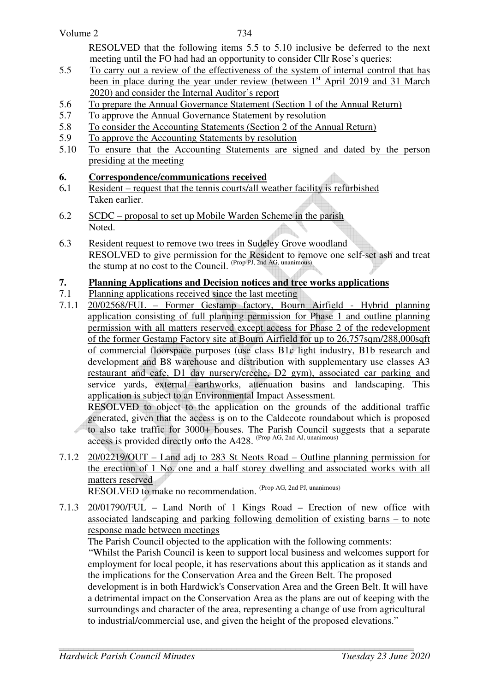| Volume 2<br>734                                                                       |
|---------------------------------------------------------------------------------------|
| RESOLVED that the following items 5.5 to 5.10 inclusive be deferred to the next       |
| meeting until the FO had had an opportunity to consider Cllr Rose's queries:          |
| To carry out a review of the effectiveness of the system of internal control that has |
|                                                                                       |

- been in place during the year under review (between  $1<sup>st</sup>$  April 2019 and 31 March 2020) and consider the Internal Auditor's report
- 5.6 To prepare the Annual Governance Statement (Section 1 of the Annual Return)
- 5.7 To approve the Annual Governance Statement by resolution
- 5.8 To consider the Accounting Statements (Section 2 of the Annual Return)
- 5.9 To approve the Accounting Statements by resolution
- 5.10 To ensure that the Accounting Statements are signed and dated by the person presiding at the meeting

## **6. Correspondence/communications received**

- 6**.**1 Resident request that the tennis courts/all weather facility is refurbished Taken earlier.
- 6.2 SCDC proposal to set up Mobile Warden Scheme in the parish Noted.
- 6.3 Resident request to remove two trees in Sudeley Grove woodland RESOLVED to give permission for the Resident to remove one self-set ash and treat the stump at no cost to the Council. (Prop PJ, 2nd AG, unanimous)

### **7. Planning Applications and Decision notices and tree works applications**

- 7.1 Planning applications received since the last meeting
- 7.1.1 20/02568/FUL Former Gestamp factory, Bourn Airfield Hybrid planning application consisting of full planning permission for Phase 1 and outline planning permission with all matters reserved except access for Phase 2 of the redevelopment of the former Gestamp Factory site at Bourn Airfield for up to 26,757sqm/288,000sqft of commercial floorspace purposes (use class B1c light industry, B1b research and development and B8 warehouse and distribution with supplementary use classes A3 restaurant and cafe, D1 day nursery/creche, D2 gym), associated car parking and service yards, external earthworks, attenuation basins and landscaping. This application is subject to an Environmental Impact Assessment.

 RESOLVED to object to the application on the grounds of the additional traffic generated, given that the access is on to the Caldecote roundabout which is proposed to also take traffic for 3000+ houses. The Parish Council suggests that a separate access is provided directly onto the A428. (Prop AG, 2nd AJ, unanimous)

7.1.2 20/02219/OUT – Land adj to 283 St Neots Road – Outline planning permission for the erection of 1 No. one and a half storey dwelling and associated works with all matters reserved

RESOLVED to make no recommendation. (Prop AG, 2nd PJ, unanimous)

7.1.3 20/01790/FUL – Land North of 1 Kings Road – Erection of new office with associated landscaping and parking following demolition of existing barns – to note response made between meetings

 The Parish Council objected to the application with the following comments: "Whilst the Parish Council is keen to support local business and welcomes support for employment for local people, it has reservations about this application as it stands and the implications for the Conservation Area and the Green Belt. The proposed development is in both Hardwick's Conservation Area and the Green Belt. It will have a detrimental impact on the Conservation Area as the plans are out of keeping with the surroundings and character of the area, representing a change of use from agricultural to industrial/commercial use, and given the height of the proposed elevations."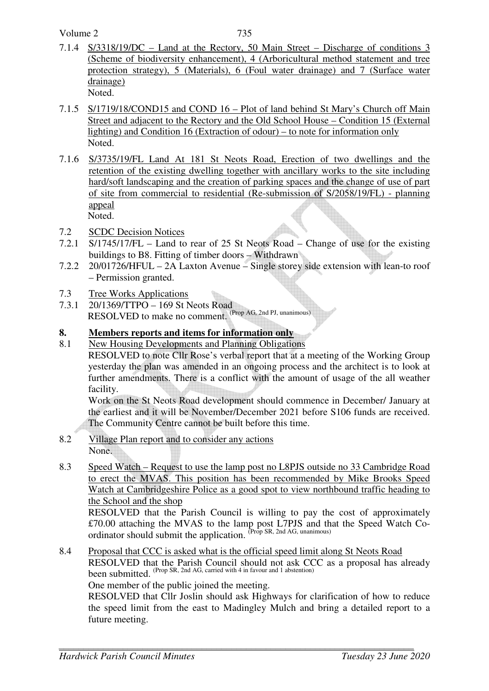Volume 2

- 7.1.4 S/3318/19/DC Land at the Rectory, 50 Main Street Discharge of conditions 3 (Scheme of biodiversity enhancement), 4 (Arboricultural method statement and tree protection strategy), 5 (Materials), 6 (Foul water drainage) and 7 (Surface water drainage) Noted.
- 7.1.5 S/1719/18/COND15 and COND 16 Plot of land behind St Mary's Church off Main Street and adjacent to the Rectory and the Old School House – Condition 15 (External lighting) and Condition 16 (Extraction of odour) – to note for information only Noted.
- 7.1.6 S/3735/19/FL Land At 181 St Neots Road, Erection of two dwellings and the retention of the existing dwelling together with ancillary works to the site including hard/soft landscaping and the creation of parking spaces and the change of use of part of site from commercial to residential (Re-submission of S/2058/19/FL) - planning appeal Noted.
- 7.2 SCDC Decision Notices
- 7.2.1 S/1745/17/FL Land to rear of 25 St Neots Road Change of use for the existing buildings to B8. Fitting of timber doors – Withdrawn
- 7.2.2 20/01726/HFUL 2A Laxton Avenue Single storey side extension with lean-to roof – Permission granted.
- 7.3 Tree Works Applications
- 7.3.1 20/1369/TTPO 169 St Neots Road RESOLVED to make no comment. (Prop AG, 2nd PJ, unanimous)

### **8. Members reports and items for information only**

8.1 New Housing Developments and Planning Obligations RESOLVED to note Cllr Rose's verbal report that at a meeting of the Working Group yesterday the plan was amended in an ongoing process and the architect is to look at further amendments. There is a conflict with the amount of usage of the all weather facility.

Work on the St Neots Road development should commence in December/ January at the earliest and it will be November/December 2021 before S106 funds are received. The Community Centre cannot be built before this time.

- 8.2 Village Plan report and to consider any actions None.
- 8.3 Speed Watch Request to use the lamp post no L8PJS outside no 33 Cambridge Road to erect the MVAS. This position has been recommended by Mike Brooks Speed Watch at Cambridgeshire Police as a good spot to view northbound traffic heading to the School and the shop

 RESOLVED that the Parish Council is willing to pay the cost of approximately £70.00 attaching the MVAS to the lamp post L7PJS and that the Speed Watch Coordinator should submit the application. <sup>(Prop SR, 2nd AG, unanimous)</sup>

8.4 Proposal that CCC is asked what is the official speed limit along St Neots Road RESOLVED that the Parish Council should not ask CCC as a proposal has already been submitted. (Prop SR, 2nd AG, carried with 4 in favour and 1 abstention)

One member of the public joined the meeting.

RESOLVED that Cllr Joslin should ask Highways for clarification of how to reduce the speed limit from the east to Madingley Mulch and bring a detailed report to a future meeting.